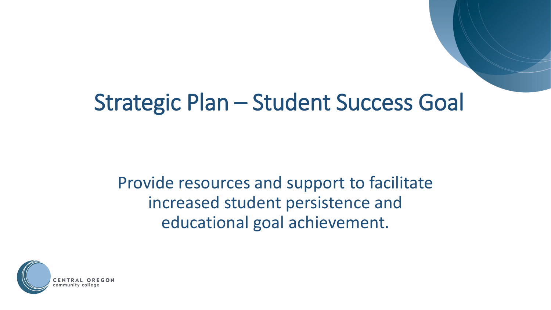### Strategic Plan – Student Success Goal

Provide resources and support to facilitate increased student persistence and educational goal achievement.

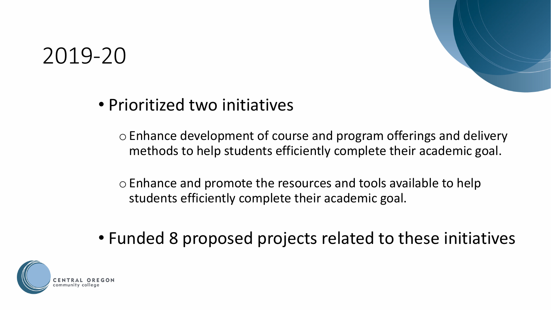

### • Prioritized two initiatives

oEnhance development of course and program offerings and delivery methods to help students efficiently complete their academic goal.

oEnhance and promote the resources and tools available to help students efficiently complete their academic goal.

• Funded 8 proposed projects related to these initiatives

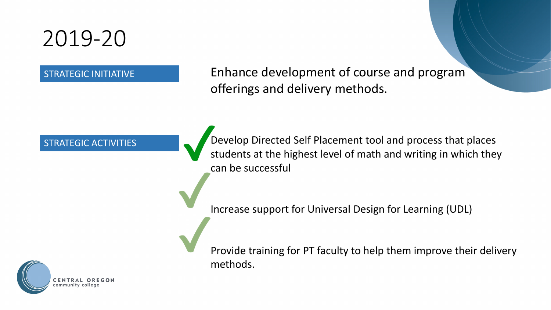STRATEGIC INITIATIVE Enhance development of course and program offerings and delivery methods.

STRATEGIC ACTIVITIES **Develop Directed Self Placement tool and process that places** students at the highest level of math and writing in which they can be successful

Increase support for Universal Design for Learning (UDL)



Provide training for PT faculty to help them improve their delivery methods.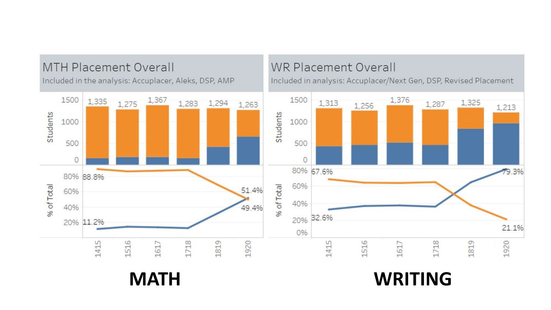

**MATH WRITING**

1,325

1819

1,213

79.3%

21.1%

1920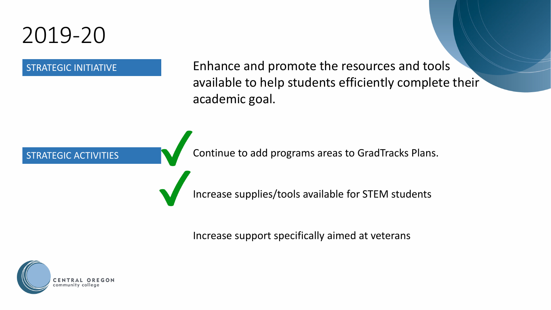

STRATEGIC INITIATIVE Enhance and promote the resources and tools available to help students efficiently complete their academic goal.

STRATEGIC ACTIVITIES **Continue to add programs areas to GradTracks Plans.** 

Increase supplies/tools available for STEM students

Increase support specifically aimed at veterans

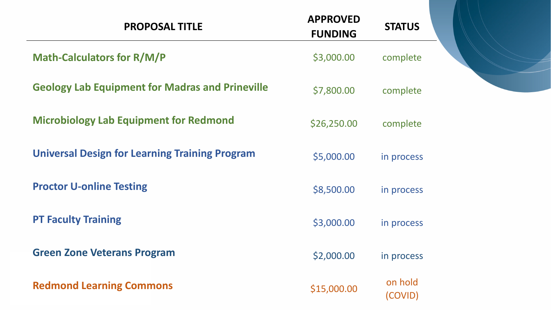| <b>PROPOSAL TITLE</b>                                  | <b>APPROVED</b><br><b>FUNDING</b> | <b>STATUS</b>      |  |
|--------------------------------------------------------|-----------------------------------|--------------------|--|
| <b>Math-Calculators for R/M/P</b>                      | \$3,000.00                        | complete           |  |
| <b>Geology Lab Equipment for Madras and Prineville</b> | \$7,800.00                        | complete           |  |
| <b>Microbiology Lab Equipment for Redmond</b>          | \$26,250.00                       | complete           |  |
| <b>Universal Design for Learning Training Program</b>  | \$5,000.00                        | in process         |  |
| <b>Proctor U-online Testing</b>                        | \$8,500.00                        | in process         |  |
| <b>PT Faculty Training</b>                             | \$3,000.00                        | in process         |  |
| <b>Green Zone Veterans Program</b>                     | \$2,000.00                        | in process         |  |
| <b>Redmond Learning Commons</b>                        | \$15,000.00                       | on hold<br>(COVID) |  |

f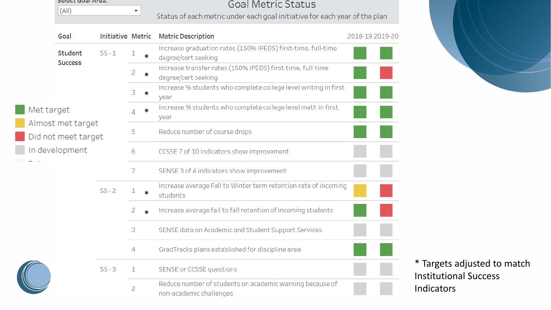| Select Goal Area. |  |  |
|-------------------|--|--|
| (AII)             |  |  |

 $\overline{\mathbf{v}}$ 

### **Goal Metric Status**

Status of each metric under each goal initiative for each year of the plan

| Goal                                     | Initiative Metric |                |         | <b>Metric Description</b>                                                           | 2018-19 2019-20 |  |
|------------------------------------------|-------------------|----------------|---------|-------------------------------------------------------------------------------------|-----------------|--|
| Student                                  | $SS - 1$          | 1              | $\ast$  | Increase graduation rates (150% IPEDS) first-time, full-time<br>degree/cert seeking |                 |  |
| <b>Success</b>                           |                   | 2              | $\ast$  | Increase transfer rates (150% IPEDS) first-time, full-time<br>degree/cert seeking   |                 |  |
|                                          |                   | 3              | $\ast$  | Increase % students who complete college level writing in first<br>year             |                 |  |
| Met target                               |                   | 4              | $\ast$  | Increase % students who complete college level math in first<br>year                |                 |  |
| Almost met target<br>Did not meet target |                   | 5              |         | Reduce number of course drops                                                       |                 |  |
| In development                           |                   | 6              |         | CCSSE 7 of 10 indicators show improvement                                           |                 |  |
|                                          |                   | 7              |         | SENSE 3 of 4 indicators show improvement                                            |                 |  |
|                                          | $SS - 2$          | 1              | $\ast$  | Increase average Fall to Winter term retention rate of incoming<br>students         |                 |  |
|                                          |                   | 2              | $\star$ | Increase average fall to fall retention of incoming students                        |                 |  |
|                                          |                   | 3              |         | SENSE data on Academic and Student Support Services                                 |                 |  |
|                                          |                   | 4              |         | GradTracks plans established for discipline area                                    |                 |  |
|                                          | $SS - 3$          | 1              |         | SENSE or CCSSE questions                                                            |                 |  |
|                                          |                   | $\overline{c}$ |         | Reduce number of students on academic warning because of<br>non-academic challenges |                 |  |

gets adjusted to match utional Success ators

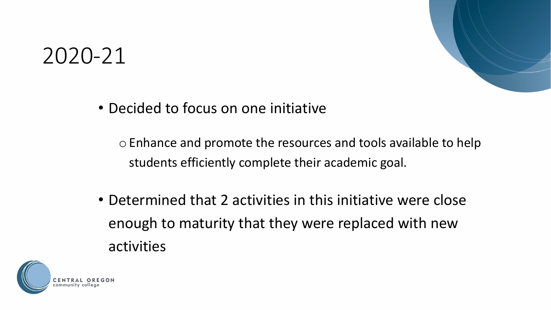• Decided to focus on one initiative

oEnhance and promote the resources and tools available to help students efficiently complete their academic goal.

• Determined that 2 activities in this initiative were close enough to maturity that they were replaced with new activities

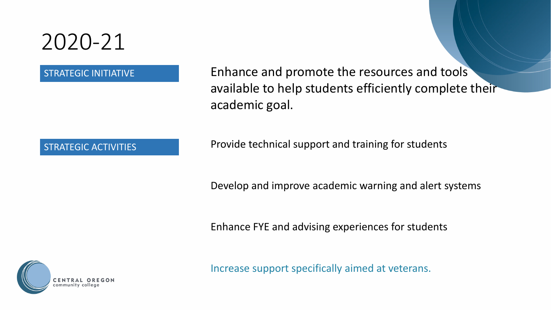STRATEGIC INITIATIVE Enhance and promote the resources and tools available to help students efficiently complete their academic goal.

STRATEGIC ACTIVITIES Provide technical support and training for students

Develop and improve academic warning and alert systems

Enhance FYE and advising experiences for students



Increase support specifically aimed at veterans.